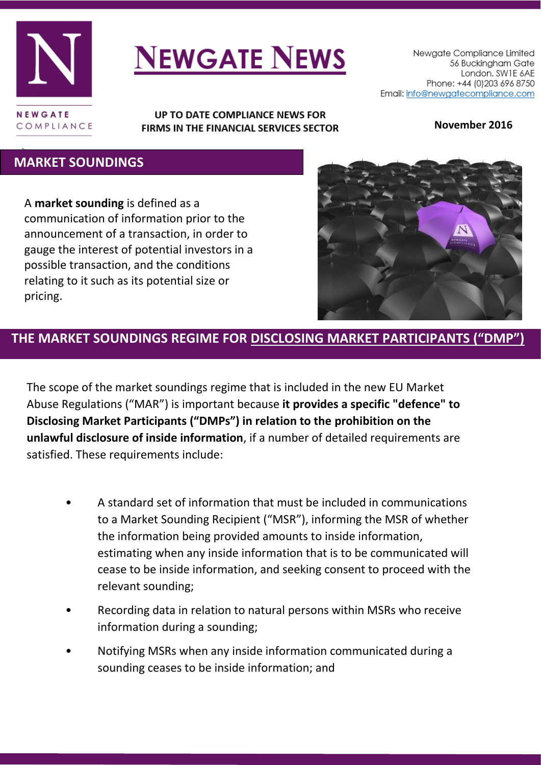

# **NEWGATE NEWS**

#### UP TO DATE COMPLIANCE NEWS FOR FIRMS IN THE FINANCIAL SERVICES SECTOR

**November 2016**

#### τ  **MARKET SOUNDINGS**

A **market sounding** is defined as a communication of information prior to the announcement of a transaction, in order to gauge the interest of potential investors in a possible transaction, and the conditions relating to it such as its potential size or pricing.



## **THE MARKET SOUNDINGS REGIME FOR DISCLOSING MARKET PARTICIPANTS ("DMP")**

The scope of the market soundings regime that is included in the new EU Market Abuse Regulations ("MAR") is important because **it provides a specific "defence" to Disclosing Market Participants ("DMPs") in relation to the prohibition on the unlawful disclosure of inside information**, if a number of detailed requirements are satisfied. These requirements include:

- A standard set of information that must be included in communications to a Market Sounding Recipient ("MSR"), informing the MSR of whether the information being provided amounts to inside information, estimating when any inside information that is to be communicated will cease to be inside information, and seeking consent to proceed with the relevant sounding;
- Recording data in relation to natural persons within MSRs who receive information during a sounding;
- Notifying MSRs when any inside information communicated during a sounding ceases to be inside information; and